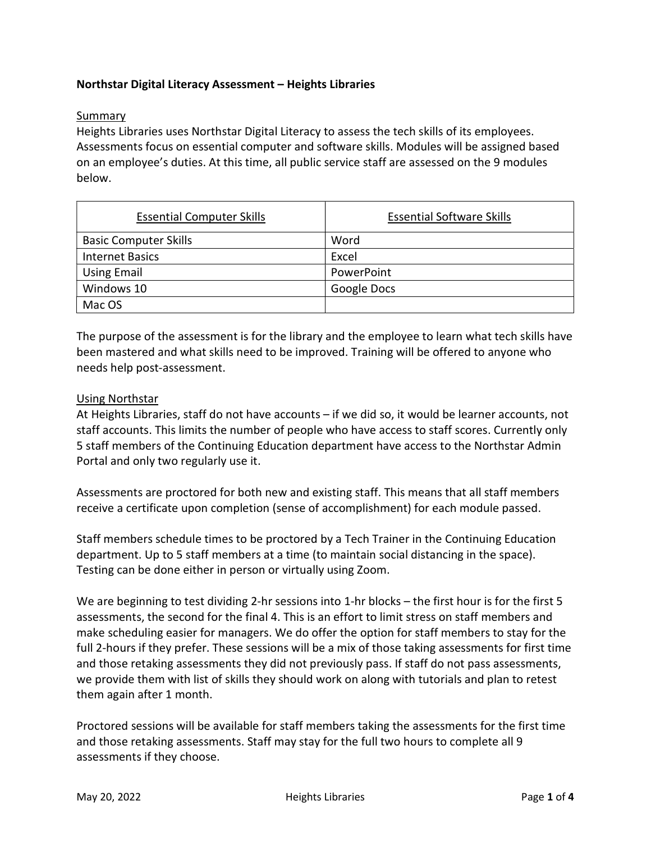# Northstar Digital Literacy Assessment – Heights Libraries

### Summary

Heights Libraries uses Northstar Digital Literacy to assess the tech skills of its employees. Assessments focus on essential computer and software skills. Modules will be assigned based on an employee's duties. At this time, all public service staff are assessed on the 9 modules below.

| <b>Essential Computer Skills</b> | <b>Essential Software Skills</b> |
|----------------------------------|----------------------------------|
| <b>Basic Computer Skills</b>     | Word                             |
| <b>Internet Basics</b>           | Excel                            |
| <b>Using Email</b>               | PowerPoint                       |
| Windows 10                       | Google Docs                      |
| Mac OS                           |                                  |

The purpose of the assessment is for the library and the employee to learn what tech skills have been mastered and what skills need to be improved. Training will be offered to anyone who needs help post-assessment.

#### Using Northstar

At Heights Libraries, staff do not have accounts – if we did so, it would be learner accounts, not staff accounts. This limits the number of people who have access to staff scores. Currently only 5 staff members of the Continuing Education department have access to the Northstar Admin Portal and only two regularly use it.

Assessments are proctored for both new and existing staff. This means that all staff members receive a certificate upon completion (sense of accomplishment) for each module passed.

Staff members schedule times to be proctored by a Tech Trainer in the Continuing Education department. Up to 5 staff members at a time (to maintain social distancing in the space). Testing can be done either in person or virtually using Zoom.

We are beginning to test dividing 2-hr sessions into 1-hr blocks – the first hour is for the first 5 assessments, the second for the final 4. This is an effort to limit stress on staff members and make scheduling easier for managers. We do offer the option for staff members to stay for the full 2-hours if they prefer. These sessions will be a mix of those taking assessments for first time and those retaking assessments they did not previously pass. If staff do not pass assessments, we provide them with list of skills they should work on along with tutorials and plan to retest them again after 1 month.

Proctored sessions will be available for staff members taking the assessments for the first time and those retaking assessments. Staff may stay for the full two hours to complete all 9 assessments if they choose.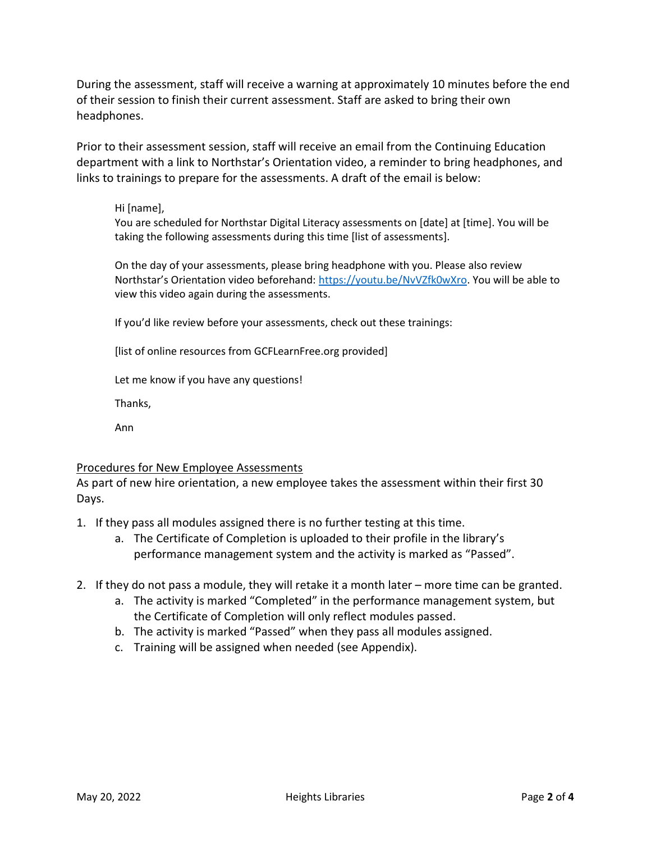During the assessment, staff will receive a warning at approximately 10 minutes before the end of their session to finish their current assessment. Staff are asked to bring their own headphones.

Prior to their assessment session, staff will receive an email from the Continuing Education department with a link to Northstar's Orientation video, a reminder to bring headphones, and links to trainings to prepare for the assessments. A draft of the email is below:

#### Hi [name],

You are scheduled for Northstar Digital Literacy assessments on [date] at [time]. You will be taking the following assessments during this time [list of assessments].

On the day of your assessments, please bring headphone with you. Please also review Northstar's Orientation video beforehand: https://youtu.be/NvVZfk0wXro. You will be able to view this video again during the assessments.

If you'd like review before your assessments, check out these trainings:

[list of online resources from GCFLearnFree.org provided]

Let me know if you have any questions!

Thanks,

Ann

## Procedures for New Employee Assessments

As part of new hire orientation, a new employee takes the assessment within their first 30 Days.

- 1. If they pass all modules assigned there is no further testing at this time.
	- a. The Certificate of Completion is uploaded to their profile in the library's performance management system and the activity is marked as "Passed".
- 2. If they do not pass a module, they will retake it a month later more time can be granted.
	- a. The activity is marked "Completed" in the performance management system, but the Certificate of Completion will only reflect modules passed.
	- b. The activity is marked "Passed" when they pass all modules assigned.
	- c. Training will be assigned when needed (see Appendix).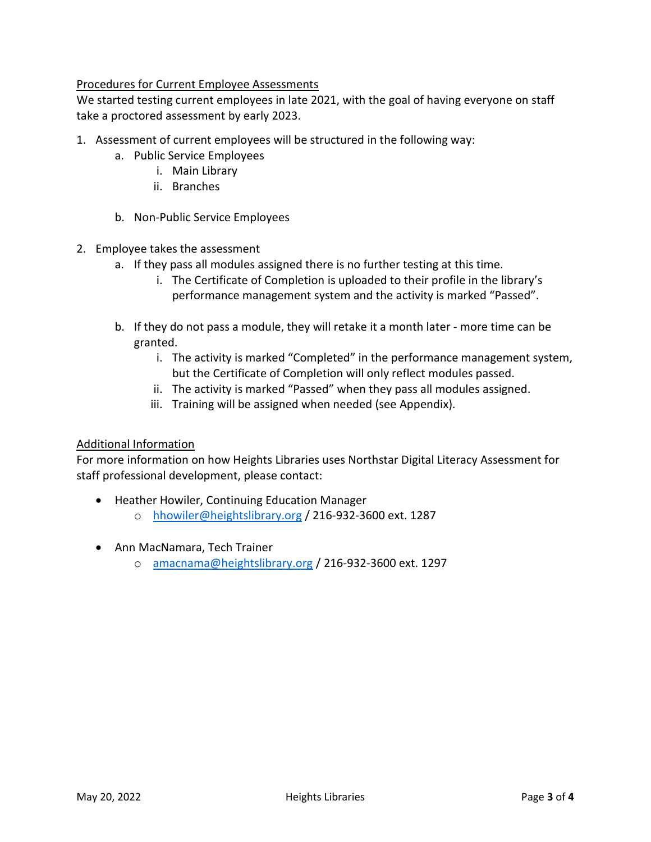## Procedures for Current Employee Assessments

We started testing current employees in late 2021, with the goal of having everyone on staff take a proctored assessment by early 2023.

- 1. Assessment of current employees will be structured in the following way:
	- a. Public Service Employees
		- i. Main Library
		- ii. Branches
	- b. Non-Public Service Employees
- 2. Employee takes the assessment
	- a. If they pass all modules assigned there is no further testing at this time.
		- i. The Certificate of Completion is uploaded to their profile in the library's performance management system and the activity is marked "Passed".
	- b. If they do not pass a module, they will retake it a month later more time can be granted.
		- i. The activity is marked "Completed" in the performance management system, but the Certificate of Completion will only reflect modules passed.
		- ii. The activity is marked "Passed" when they pass all modules assigned.
		- iii. Training will be assigned when needed (see Appendix).

## Additional Information

For more information on how Heights Libraries uses Northstar Digital Literacy Assessment for staff professional development, please contact:

- Heather Howiler, Continuing Education Manager
	- o hhowiler@heightslibrary.org / 216-932-3600 ext. 1287
- Ann MacNamara, Tech Trainer
	- o amacnama@heightslibrary.org / 216-932-3600 ext. 1297